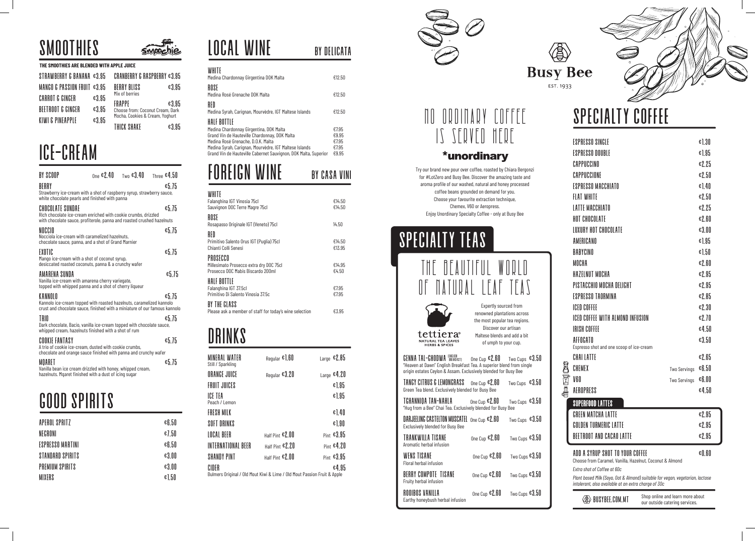# SPECIALTY COFFEE

Try our brand new pour over coffee, roasted by Chiara Bergonzi for #LotZero and Busy Bee. Discover the amazing taste and aroma profile of our washed, natural and honey processed coffee beans grounded on demand for you. Choose your favourite extraction technique, Chemex, V60 or Aeropress. Enjoy Unordinary Specialty Coffee - only at Busy Bee

# SPECIALTY TEAS

| ESPRESSO SINGLE                                                                         |                     | €1.30    |
|-----------------------------------------------------------------------------------------|---------------------|----------|
| ESPRESSO DOUBLE                                                                         |                     | €1.95    |
| CAPPUCCINO                                                                              |                     | €2.25    |
| CAPPUCCIONE                                                                             |                     | €2.50    |
| <b>FSPRESSO MACCHIATO</b>                                                               |                     | € $1.40$ |
| <b>FIAT WHITE</b>                                                                       |                     | €2.50    |
| <b>LATTE MACCHIATO</b>                                                                  |                     | €2.25    |
| HOT CHOCOLATE                                                                           |                     | E2.60    |
| LUXURY HOT CHOCOLATE                                                                    |                     | €3.00    |
| AMERICANO                                                                               |                     | €1.95    |
| BABYCINO                                                                                |                     | €1.50    |
| MOCHA                                                                                   |                     | E2.60    |
| HAZELNUT MOCHA                                                                          |                     | €2.95    |
| PISTACCHIO MOCHA DELIGHT                                                                |                     | €2.95    |
| <b>FSPRESSO TAORMINA</b>                                                                |                     | €2.85    |
| ICED COFFFF                                                                             |                     | €2.30    |
| ICED COFFEE WITH ALMOND INFUSION                                                        |                     | €2.70    |
| <b>IRISH COFFEE</b>                                                                     |                     | €4.50    |
| AFFOGATO                                                                                |                     | €3.50    |
| Espresso shot and one scoop of ice-cream<br>CHAI LATTE                                  |                     |          |
|                                                                                         |                     | €2.65    |
| CHEMEX<br>V60                                                                           | <b>Two Servings</b> | €6.50    |
|                                                                                         | Two Servings        | €6.00    |
| AEROPRESS                                                                               |                     | €4.50    |
| <b>SUPERFOOD LATTES</b>                                                                 |                     |          |
| <b>GREEN MATCHA LATTE</b>                                                               |                     | €2.95    |
| GOLDEN TURMERIC LATTE                                                                   |                     | €2.95    |
| BEETROOT AND CACAO LATTE                                                                |                     | €2.95    |
| ADD A SYRUP SHOT TO YOUR COFFEE                                                         |                     | €0.60    |
| Choose from Caramel, Vanilla, Hazelnut, Coconut & Almond<br>Extra shot of Coffee at 60c |                     |          |
|                                                                                         |                     |          |

 $\langle \text{B} \rangle$  BUSYBEE.COM.MT Shop online and learn more about our outside catering services.

*Plant based Milk (Soya, Oat & Almond) suitable for vegan, vegetarian, lactose intolerant, also available at an extra charge of 30c*

**the Legion** 

| <b>WENS TISANE</b><br>Floral herbal infusion   | One Cup $$2.60$         | Two Cups $$3.50$ |
|------------------------------------------------|-------------------------|------------------|
| BERRY COMPOTE TISANE<br>Fruity herbal infusion | One Cup $\epsilon$ 2.60 | Two Cups $€3.50$ |
| ROOIBOS VANILLA                                | One Cup $$2.60$         | Two Cups $€3.50$ |



Earthy honeybush herbal infusion

## NO ORDINARY COFFEE IS SERVED HERE

### \*unordinary





Expertly sourced from renowned plantations across the most popular tea regions. Discover our artisan Maltese blends and add a bit of umph to your cup.

| MINERAL WATER<br>Still / Sparkling                                                | Reqular $E$ , $E$ | Large $£2.85$ |
|-----------------------------------------------------------------------------------|-------------------|---------------|
| ORANGE JUICE                                                                      | Regular $63.20$   | Large $£4.20$ |
| <b>FRUIT JUICES</b>                                                               |                   | €1.95         |
| ICE TEA<br>Peach / Lemon                                                          |                   | €1.95         |
| FRESH MILK                                                                        |                   | € $\mid$ 40   |
| SOFT DRINKS                                                                       |                   | €1.90         |
| LOCAL BEER                                                                        | Half Pint $$2.00$ | Pint $&3.95$  |
| INTERNATIONAL BEER                                                                | Half Pint €2.20   | Pint $£4.20$  |
| SHANDY PINT                                                                       | Half Pint €2.00   | Pint $&3.95$  |
| CIDER<br>Bulmers Original / Old Mout Kiwi & Lime / Old Mout Passion Fruit & Apple |                   | €4.95         |



# good spirits

| APEROL SPRITZ    | €6.50    |
|------------------|----------|
| NEGRONI          | €7.50    |
| ESPRESSO MARTINI | €6.50    |
| STANDARD SPIRITS | €3.00    |
| PREMIUM SPIRITS  | €3.00    |
| <b>MIXERS</b>    | € $1.50$ |

| <b>GENNA TAL-GHODWA BREAKFAST</b> One Cup $\epsilon$ <b>2.60</b> Two Cups $\epsilon$ 3.50<br>"Heaven at Dawn" English Breakfast Tea. A superior blend from single<br>origin estates Ceylon & Assam. Exclusively blended for Busy Bee |                         |                  |             |
|--------------------------------------------------------------------------------------------------------------------------------------------------------------------------------------------------------------------------------------|-------------------------|------------------|-------------|
| TANGY CITRUS & LEMONGRASS<br>Green Tea blend. Exclusively blended for Busy Bee                                                                                                                                                       | One Cup $E2.60$         | Two Cups $€3.50$ |             |
| TGHANNIOA TAN-NAHLA<br>"Hug from a Bee" Chai Tea. Exclusively blended for Busy Bee                                                                                                                                                   | One Cup $\epsilon$ 2.60 | Two Cups $€3.50$ |             |
| DARJEELING CASTELTON MUSCATEL $_{\text{One Cup}}$ $\epsilon$ 2.60<br><b>Exclusively blended for Busy Bee</b>                                                                                                                         |                         | Two Cups $€3.50$ |             |
| TRANKWILLA TISANE<br>Aromatic herbal infusion                                                                                                                                                                                        | One Cup $$2.60$         | Two Cups $€3.50$ |             |
| <b>ULLENIO TIOBUL</b>                                                                                                                                                                                                                | - በ በ በ                 |                  | <b>ANTA</b> |

| WHITE<br>Medina Chardonnay Girgentina DOK Malta                                                                                                                                                                                                                            | €12.50                                    |
|----------------------------------------------------------------------------------------------------------------------------------------------------------------------------------------------------------------------------------------------------------------------------|-------------------------------------------|
| ROSE<br>Medina Rosé Grenache DOK Malta                                                                                                                                                                                                                                     | £12.50                                    |
| RFD<br>Medina Syrah, Carignan, Mourvèdre, IGT Maltese Islands                                                                                                                                                                                                              | €12.50                                    |
| HALF BOTTLE<br>Medina Chardonnay Girgentina, DOK Malta<br>Grand Vin de Hauteville Chardonnay, DOK Malta<br>Medina Rosé Grenache, D.O.K. Malta<br>Medina Syrah, Carignan, Mourvèdre, IGT Maltese Islands<br>Grand Vin de Hauteville Cabernet Sauvignon, DOK Malta, Superior | €7.95<br>€9.95<br>€7.95<br>€7.95<br>€9.95 |
|                                                                                                                                                                                                                                                                            |                                           |

| WHITE<br>Falanghina IGT Vinosia 75cl<br>Sauvignon DOC Terre Magre 75cl                   | €14.50<br>€14.50 |
|------------------------------------------------------------------------------------------|------------------|
| ROSE<br>Rosapasso Originale IGT (Veneto) 75cl                                            | 14.50            |
| RED<br>Primitivo Salento Orus IGT (Puglia) 75cl<br>Chianti Colli Senesi                  | €14.50<br>€13.95 |
| PROSECCO<br>Millesimato Prosecco extra dry DOC 75cl<br>Prosecco DOC Mabis Biscardo 200ml | €14.95<br>€4.50  |
| HALF BOTTLE<br>Falanghina IGT 37.5cl<br>Primitivo Di Salento Vinosia 37.5c               | €7.95<br>€7.95   |
| BY THE GLASS<br>Please ask a member of staff for today's wine selection                  | €3.95            |

### **DRINKS**

## Ice-Cream

### **SMOOTHIES**

| THE SMOOTHIES ARE BLENDED WITH APPLE JUICE |       |                                  |       |
|--------------------------------------------|-------|----------------------------------|-------|
| STRAWBERRY & BANANA $\epsilon$ 3.95        |       | CRANBERRY & RASPBERRY $$3.95$    |       |
| MANGO & PASSION FRUIT $\epsilon$ 3.95      |       | BERRY BLISS                      | €3.95 |
| CARROT & GINGER                            | €3.95 | Mix of berries<br>FRAPPF         | €3.95 |
| <b>BEETROOT &amp; GINGER</b>               | €3.95 | Choose from: Coconut Cream, Dark |       |
| KIWI & PINFAPPLE                           | €3.95 | Mocha, Cookies & Cream, Yoghurt  |       |
|                                            |       | THICK SHAKE                      | €3.95 |

### Local Wine by delicata

### FOREIGN Wine by casa vini

| RY SCOOP<br>BERRY<br>Strawberry ice-cream with a shot of raspberry syrup, strawberry sauce,<br>white chocolate pearls and finished with panna                   | $_{\text{One}}$ $\epsilon$ 2 40 $_{\text{Two}}$ $\epsilon$ 3 40 | Three $64.50$<br>€5.75 |
|-----------------------------------------------------------------------------------------------------------------------------------------------------------------|-----------------------------------------------------------------|------------------------|
| CHOCOLATE SUNDAE<br>Rich chocolate ice-cream enriched with cookie crumbs, drizzled<br>with chocolate sauce, profiterole, panna and roasted crushed hazelnuts    |                                                                 | 65.75                  |
| NOCCIO<br>Nocciola ice-cream with caramelized hazelnuts,<br>chocolate sauce, panna, and a shot of Grand Marnier                                                 |                                                                 | € $5.75$               |
| EXOTIC<br>Mango ice-cream with a shot of coconut syrup,<br>desiccated roasted coconuts, panna & a crunchy wafer                                                 |                                                                 | €5.75                  |
| AMARENA SUNDA<br>Vanilla ice-cream with amarena cherry variegate,<br>topped with whipped panna and a shot of cherry liqueur                                     |                                                                 | €5.75                  |
| K ANNOI O<br>Kannolo ice-cream topped with roasted hazelnuts, caramelized kannolo<br>crust and chocolate sauce, finished with a miniature of our famous kannolo |                                                                 | 65.75                  |
| TRIO<br>Dark chocolate, Bacio, vanilla ice-cream topped with chocolate sauce,<br>whipped cream, hazelnuts finished with a shot of rum                           |                                                                 | 65.75                  |
| COOKIE FANTASY<br>A trio of cookie ice-cream, dusted with cookie crumbs,<br>chocolate and orange sauce finished with panna and crunchy wafer                    |                                                                 | €5.75                  |
| MOARET<br>Vanilla bean ice cream drizzled with honey, whipped cream,<br>hazelnuts. Mgaret finished with a dust of icing sugar                                   |                                                                 | €5.75                  |